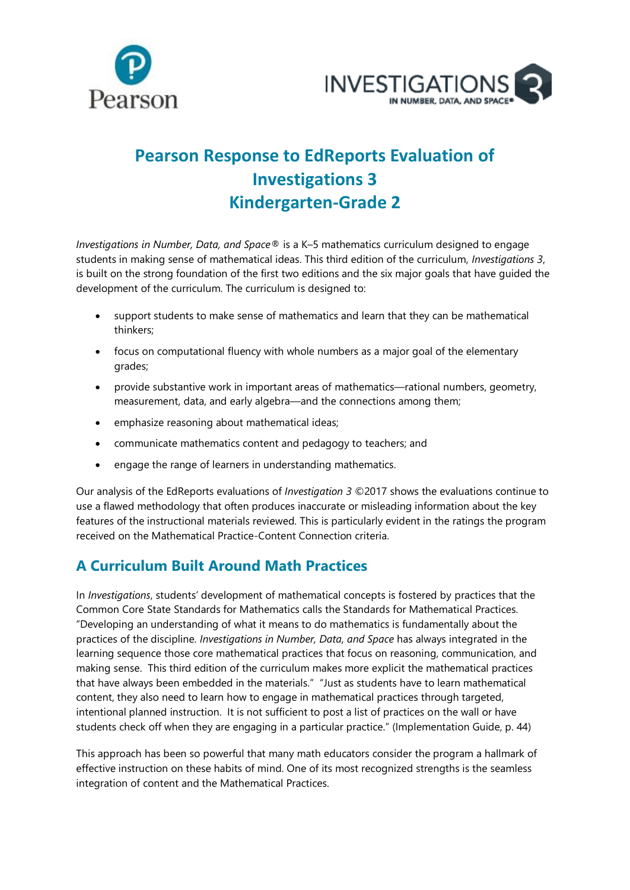



## **Pearson Response to EdReports Evaluation of Investigations 3 Kindergarten-Grade 2**

*Investigations in Number, Data, and Space®* is a K–5 mathematics curriculum designed to engage students in making sense of mathematical ideas. This third edition of the curriculum, *Investigations 3*, is built on the strong foundation of the first two editions and the six major goals that have guided the development of the curriculum. The curriculum is designed to:

- support students to make sense of mathematics and learn that they can be mathematical thinkers;
- focus on computational fluency with whole numbers as a major goal of the elementary grades;
- provide substantive work in important areas of mathematics—rational numbers, geometry, measurement, data, and early algebra—and the connections among them;
- emphasize reasoning about mathematical ideas;
- communicate mathematics content and pedagogy to teachers; and
- engage the range of learners in understanding mathematics.

Our analysis of the EdReports evaluations of *Investigation 3* ©2017 shows the evaluations continue to use a flawed methodology that often produces inaccurate or misleading information about the key features of the instructional materials reviewed. This is particularly evident in the ratings the program received on the Mathematical Practice-Content Connection criteria.

## **A Curriculum Built Around Math Practices**

In *Investigations*, students' development of mathematical concepts is fostered by practices that the Common Core State Standards for Mathematics calls the Standards for Mathematical Practices. "Developing an understanding of what it means to do mathematics is fundamentally about the practices of the discipline. *Investigations in Number, Data, and Space* has always integrated in the learning sequence those core mathematical practices that focus on reasoning, communication, and making sense. This third edition of the curriculum makes more explicit the mathematical practices that have always been embedded in the materials." "Just as students have to learn mathematical content, they also need to learn how to engage in mathematical practices through targeted, intentional planned instruction. It is not sufficient to post a list of practices on the wall or have students check off when they are engaging in a particular practice." (Implementation Guide, p. 44)

This approach has been so powerful that many math educators consider the program a hallmark of effective instruction on these habits of mind. One of its most recognized strengths is the seamless integration of content and the Mathematical Practices.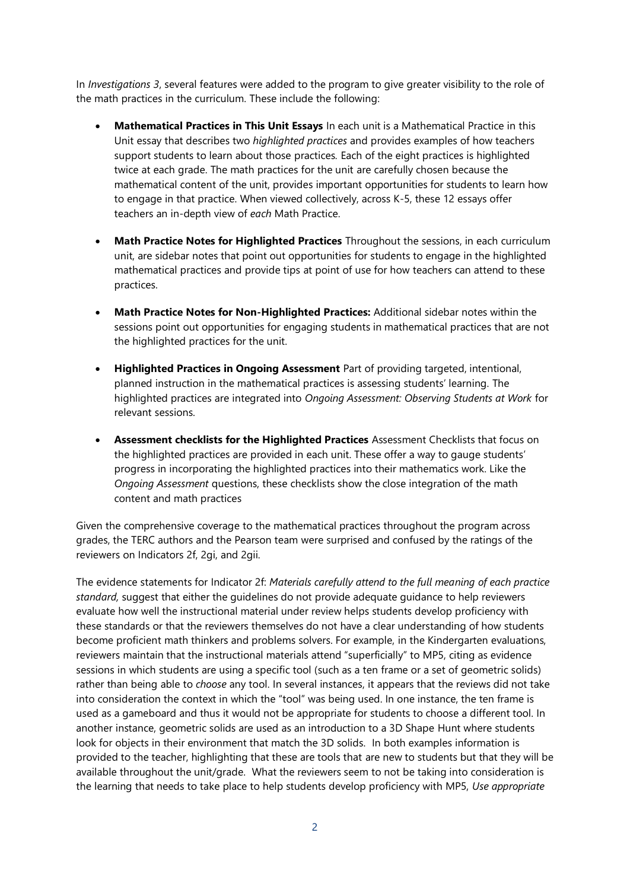In *Investigations 3*, several features were added to the program to give greater visibility to the role of the math practices in the curriculum. These include the following:

- **Mathematical Practices in This Unit Essays** In each unit is a Mathematical Practice in this Unit essay that describes two *highlighted practices* and provides examples of how teachers support students to learn about those practices*.* Each of the eight practices is highlighted twice at each grade. The math practices for the unit are carefully chosen because the mathematical content of the unit, provides important opportunities for students to learn how to engage in that practice. When viewed collectively, across K-5, these 12 essays offer teachers an in-depth view of *each* Math Practice.
- **Math Practice Notes for Highlighted Practices** Throughout the sessions, in each curriculum unit, are sidebar notes that point out opportunities for students to engage in the highlighted mathematical practices and provide tips at point of use for how teachers can attend to these practices.
- **Math Practice Notes for Non-Highlighted Practices:** Additional sidebar notes within the sessions point out opportunities for engaging students in mathematical practices that are not the highlighted practices for the unit.
- **Highlighted Practices in Ongoing Assessment** Part of providing targeted, intentional, planned instruction in the mathematical practices is assessing students' learning. The highlighted practices are integrated into *Ongoing Assessment: Observing Students at Work* for relevant sessions.
- **Assessment checklists for the Highlighted Practices** Assessment Checklists that focus on the highlighted practices are provided in each unit. These offer a way to gauge students' progress in incorporating the highlighted practices into their mathematics work. Like the *Ongoing Assessment* questions, these checklists show the close integration of the math content and math practices

Given the comprehensive coverage to the mathematical practices throughout the program across grades, the TERC authors and the Pearson team were surprised and confused by the ratings of the reviewers on Indicators 2f, 2gi, and 2gii.

The evidence statements for Indicator 2f: *Materials carefully attend to the full meaning of each practice standard,* suggest that either the guidelines do not provide adequate guidance to help reviewers evaluate how well the instructional material under review helps students develop proficiency with these standards or that the reviewers themselves do not have a clear understanding of how students become proficient math thinkers and problems solvers. For example, in the Kindergarten evaluations, reviewers maintain that the instructional materials attend "superficially" to MP5, citing as evidence sessions in which students are using a specific tool (such as a ten frame or a set of geometric solids) rather than being able to *choose* any tool. In several instances, it appears that the reviews did not take into consideration the context in which the "tool" was being used. In one instance, the ten frame is used as a gameboard and thus it would not be appropriate for students to choose a different tool. In another instance, geometric solids are used as an introduction to a 3D Shape Hunt where students look for objects in their environment that match the 3D solids. In both examples information is provided to the teacher, highlighting that these are tools that are new to students but that they will be available throughout the unit/grade. What the reviewers seem to not be taking into consideration is the learning that needs to take place to help students develop proficiency with MP5, *Use appropriate*